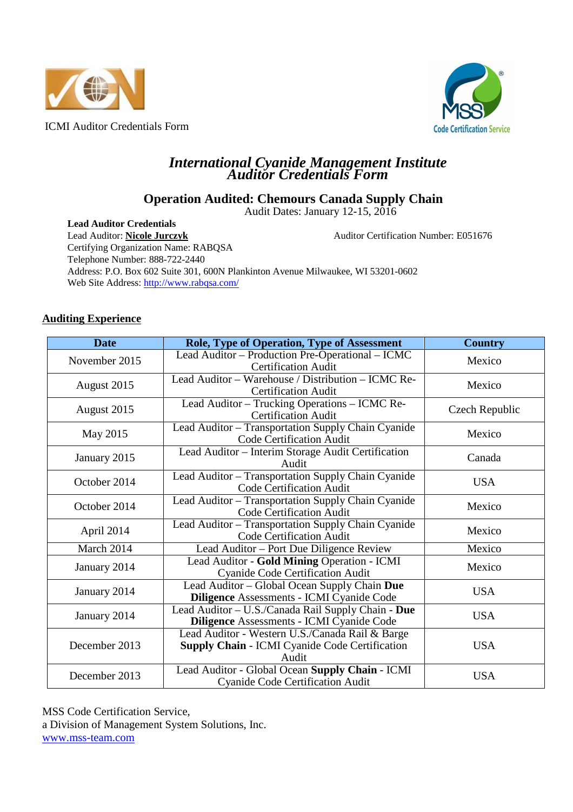



## *International Cyanide Management Institute Auditor Credentials Form*

# **Operation Audited: Chemours Canada Supply Chain**

Audit Dates: January 12-15, 2016

**Lead Auditor Credentials**  Lead Auditor: **Nicole Jurczyk** Auditor Certification Number: E051676 Certifying Organization Name: RABQSA Telephone Number: 888-722-2440 Address: P.O. Box 602 Suite 301, 600N Plankinton Avenue Milwaukee, WI 53201-0602 Web Site Address: http://www.rabqsa.com/

## **Auditing Experience**

| <b>Date</b>   | <b>Role, Type of Operation, Type of Assessment</b>                                                                | <b>Country</b> |  |
|---------------|-------------------------------------------------------------------------------------------------------------------|----------------|--|
| November 2015 | Lead Auditor – Production Pre-Operational – ICMC<br><b>Certification Audit</b>                                    | Mexico         |  |
| August 2015   | Lead Auditor - Warehouse / Distribution - ICMC Re-<br><b>Certification Audit</b>                                  | Mexico         |  |
| August 2015   | Lead Auditor - Trucking Operations - ICMC Re-<br><b>Certification Audit</b>                                       | Czech Republic |  |
| May 2015      | Lead Auditor - Transportation Supply Chain Cyanide<br><b>Code Certification Audit</b>                             | Mexico         |  |
| January 2015  | Lead Auditor - Interim Storage Audit Certification<br>Audit                                                       | Canada         |  |
| October 2014  | Lead Auditor - Transportation Supply Chain Cyanide<br><b>Code Certification Audit</b>                             | <b>USA</b>     |  |
| October 2014  | Lead Auditor - Transportation Supply Chain Cyanide<br><b>Code Certification Audit</b>                             | Mexico         |  |
| April 2014    | Lead Auditor - Transportation Supply Chain Cyanide<br><b>Code Certification Audit</b>                             | Mexico         |  |
| March 2014    | Lead Auditor – Port Due Diligence Review                                                                          | Mexico         |  |
| January 2014  | Lead Auditor - Gold Mining Operation - ICMI<br><b>Cyanide Code Certification Audit</b>                            | Mexico         |  |
| January 2014  | Lead Auditor - Global Ocean Supply Chain Due<br>Diligence Assessments - ICMI Cyanide Code                         | <b>USA</b>     |  |
| January 2014  | Lead Auditor - U.S./Canada Rail Supply Chain - Due<br>Diligence Assessments - ICMI Cyanide Code                   | <b>USA</b>     |  |
| December 2013 | Lead Auditor - Western U.S./Canada Rail & Barge<br><b>Supply Chain - ICMI Cyanide Code Certification</b><br>Audit | <b>USA</b>     |  |
| December 2013 | Lead Auditor - Global Ocean Supply Chain - ICMI<br><b>Cyanide Code Certification Audit</b>                        | <b>USA</b>     |  |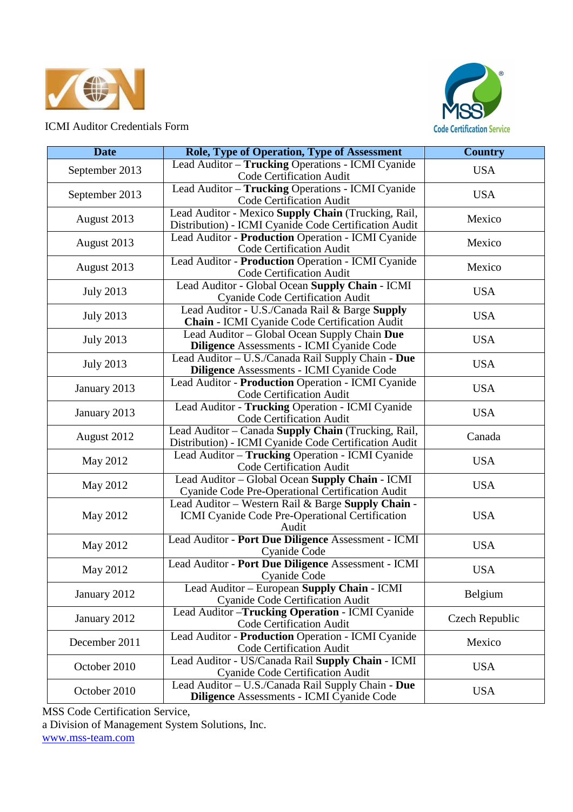



| <b>Date</b>      | <b>Role, Type of Operation, Type of Assessment</b>                                                             | <b>Country</b> |
|------------------|----------------------------------------------------------------------------------------------------------------|----------------|
| September 2013   | Lead Auditor - Trucking Operations - ICMI Cyanide<br>Code Certification Audit                                  | <b>USA</b>     |
| September 2013   | Lead Auditor - Trucking Operations - ICMI Cyanide<br>Code Certification Audit                                  | <b>USA</b>     |
| August 2013      | Lead Auditor - Mexico Supply Chain (Trucking, Rail,<br>Distribution) - ICMI Cyanide Code Certification Audit   | Mexico         |
| August 2013      | Lead Auditor - Production Operation - ICMI Cyanide<br>Code Certification Audit                                 | Mexico         |
| August 2013      | Lead Auditor - Production Operation - ICMI Cyanide<br>Code Certification Audit                                 | Mexico         |
| <b>July 2013</b> | Lead Auditor - Global Ocean Supply Chain - ICMI<br>Cyanide Code Certification Audit                            | <b>USA</b>     |
| <b>July 2013</b> | Lead Auditor - U.S./Canada Rail & Barge Supply<br>Chain - ICMI Cyanide Code Certification Audit                | <b>USA</b>     |
| <b>July 2013</b> | Lead Auditor – Global Ocean Supply Chain Due<br>Diligence Assessments - ICMI Cyanide Code                      | <b>USA</b>     |
| <b>July 2013</b> | Lead Auditor - U.S./Canada Rail Supply Chain - Due<br>Diligence Assessments - ICMI Cyanide Code                | <b>USA</b>     |
| January 2013     | Lead Auditor - Production Operation - ICMI Cyanide<br><b>Code Certification Audit</b>                          | <b>USA</b>     |
| January 2013     | Lead Auditor - Trucking Operation - ICMI Cyanide<br><b>Code Certification Audit</b>                            | <b>USA</b>     |
| August 2012      | Lead Auditor - Canada Supply Chain (Trucking, Rail,<br>Distribution) - ICMI Cyanide Code Certification Audit   | Canada         |
| May 2012         | Lead Auditor - Trucking Operation - ICMI Cyanide<br>Code Certification Audit                                   | <b>USA</b>     |
| May 2012         | Lead Auditor - Global Ocean Supply Chain - ICMI<br>Cyanide Code Pre-Operational Certification Audit            | <b>USA</b>     |
| May 2012         | Lead Auditor - Western Rail & Barge Supply Chain -<br>ICMI Cyanide Code Pre-Operational Certification<br>Audit | <b>USA</b>     |
| May 2012         | Lead Auditor - Port Due Diligence Assessment - ICMI<br>Cyanide Code                                            | <b>USA</b>     |
| May 2012         | Lead Auditor - Port Due Diligence Assessment - ICMI<br>Cyanide Code                                            | <b>USA</b>     |
| January 2012     | Lead Auditor - European Supply Chain - ICMI<br><b>Cyanide Code Certification Audit</b>                         | Belgium        |
| January 2012     | Lead Auditor - Trucking Operation - ICMI Cyanide<br><b>Code Certification Audit</b>                            | Czech Republic |
| December 2011    | Lead Auditor - Production Operation - ICMI Cyanide<br><b>Code Certification Audit</b>                          | Mexico         |
| October 2010     | Lead Auditor - US/Canada Rail Supply Chain - ICMI<br>Cyanide Code Certification Audit                          | <b>USA</b>     |
| October 2010     | Lead Auditor - U.S./Canada Rail Supply Chain - Due<br>Diligence Assessments - ICMI Cyanide Code                | <b>USA</b>     |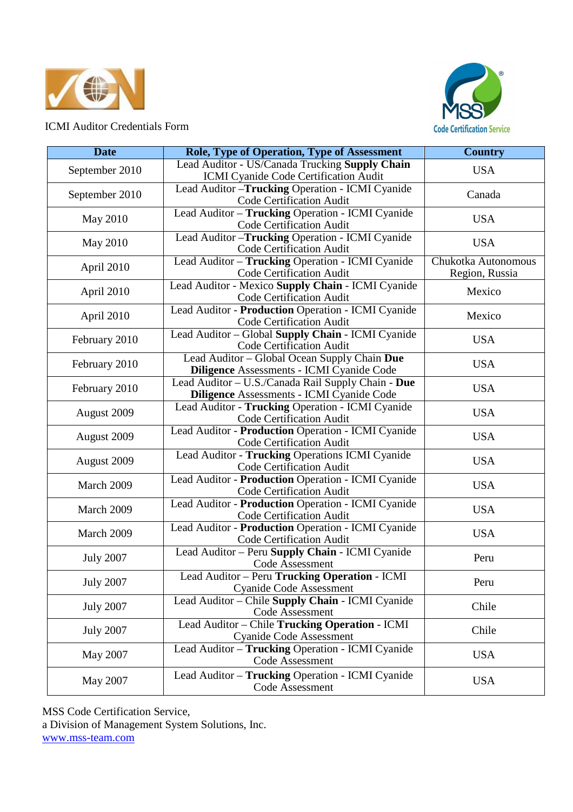



| <b>Date</b>      | <b>Role, Type of Operation, Type of Assessment</b>                                               | <b>Country</b>                        |
|------------------|--------------------------------------------------------------------------------------------------|---------------------------------------|
| September 2010   | Lead Auditor - US/Canada Trucking Supply Chain<br>ICMI Cyanide Code Certification Audit          | <b>USA</b>                            |
| September 2010   | Lead Auditor-Trucking Operation - ICMI Cyanide<br><b>Code Certification Audit</b>                | Canada                                |
| May 2010         | Lead Auditor - Trucking Operation - ICMI Cyanide<br><b>Code Certification Audit</b>              | <b>USA</b>                            |
| May 2010         | Lead Auditor - Trucking Operation - ICMI Cyanide<br><b>Code Certification Audit</b>              | <b>USA</b>                            |
| April 2010       | Lead Auditor - Trucking Operation - ICMI Cyanide<br><b>Code Certification Audit</b>              | Chukotka Autonomous<br>Region, Russia |
| April 2010       | Lead Auditor - Mexico Supply Chain - ICMI Cyanide<br>Code Certification Audit                    | Mexico                                |
| April 2010       | Lead Auditor - Production Operation - ICMI Cyanide<br>Code Certification Audit                   | Mexico                                |
| February 2010    | Lead Auditor - Global Supply Chain - ICMI Cyanide<br><b>Code Certification Audit</b>             | <b>USA</b>                            |
| February 2010    | Lead Auditor - Global Ocean Supply Chain Due<br><b>Diligence Assessments - ICMI Cyanide Code</b> | <b>USA</b>                            |
| February 2010    | Lead Auditor - U.S./Canada Rail Supply Chain - Due<br>Diligence Assessments - ICMI Cyanide Code  | <b>USA</b>                            |
| August 2009      | Lead Auditor - Trucking Operation - ICMI Cyanide<br><b>Code Certification Audit</b>              | <b>USA</b>                            |
| August 2009      | Lead Auditor - Production Operation - ICMI Cyanide<br>Code Certification Audit                   | <b>USA</b>                            |
| August 2009      | Lead Auditor - Trucking Operations ICMI Cyanide<br><b>Code Certification Audit</b>               | <b>USA</b>                            |
| March 2009       | Lead Auditor - Production Operation - ICMI Cyanide<br>Code Certification Audit                   | <b>USA</b>                            |
| March 2009       | Lead Auditor - Production Operation - ICMI Cyanide<br>Code Certification Audit                   | <b>USA</b>                            |
| March 2009       | Lead Auditor - Production Operation - ICMI Cyanide<br>Code Certification Audit                   | <b>USA</b>                            |
| <b>July 2007</b> | Lead Auditor - Peru Supply Chain - ICMI Cyanide<br>Code Assessment                               | Peru                                  |
| <b>July 2007</b> | Lead Auditor - Peru Trucking Operation - ICMI<br><b>Cyanide Code Assessment</b>                  | Peru                                  |
| <b>July 2007</b> | Lead Auditor - Chile Supply Chain - ICMI Cyanide<br>Code Assessment                              | Chile                                 |
| <b>July 2007</b> | Lead Auditor - Chile Trucking Operation - ICMI<br>Cyanide Code Assessment                        | Chile                                 |
| May 2007         | Lead Auditor - Trucking Operation - ICMI Cyanide<br>Code Assessment                              | <b>USA</b>                            |
| May 2007         | Lead Auditor - Trucking Operation - ICMI Cyanide<br>Code Assessment                              | <b>USA</b>                            |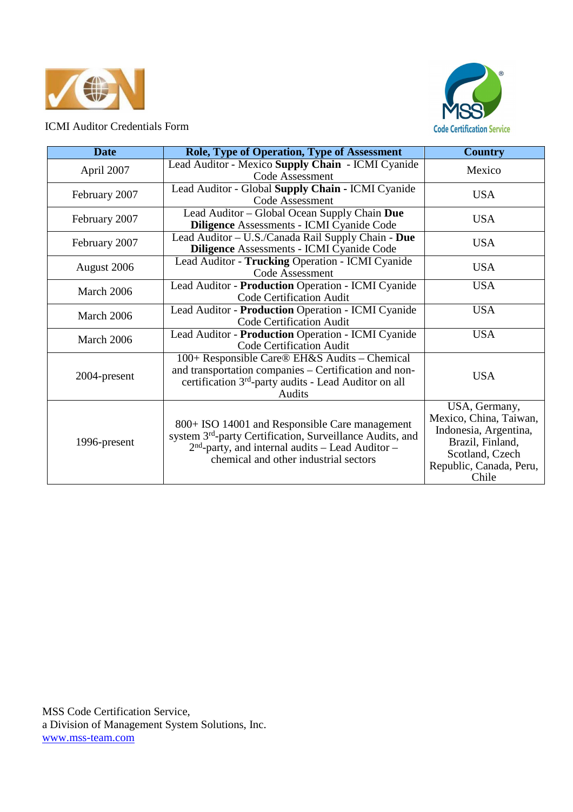



| <b>Date</b>   | <b>Role, Type of Operation, Type of Assessment</b>                                                                                                                                                                     | <b>Country</b>                                                                                                                              |
|---------------|------------------------------------------------------------------------------------------------------------------------------------------------------------------------------------------------------------------------|---------------------------------------------------------------------------------------------------------------------------------------------|
| April 2007    | Lead Auditor - Mexico Supply Chain - ICMI Cyanide<br>Code Assessment                                                                                                                                                   | Mexico                                                                                                                                      |
| February 2007 | Lead Auditor - Global Supply Chain - ICMI Cyanide<br>Code Assessment                                                                                                                                                   | <b>USA</b>                                                                                                                                  |
| February 2007 | Lead Auditor - Global Ocean Supply Chain Due<br><b>Diligence Assessments - ICMI Cyanide Code</b>                                                                                                                       | <b>USA</b>                                                                                                                                  |
| February 2007 | Lead Auditor - U.S./Canada Rail Supply Chain - Due<br><b>Diligence Assessments - ICMI Cyanide Code</b>                                                                                                                 | <b>USA</b>                                                                                                                                  |
| August 2006   | Lead Auditor - Trucking Operation - ICMI Cyanide<br>Code Assessment                                                                                                                                                    | <b>USA</b>                                                                                                                                  |
| March 2006    | Lead Auditor - Production Operation - ICMI Cyanide<br><b>Code Certification Audit</b>                                                                                                                                  | <b>USA</b>                                                                                                                                  |
| March 2006    | Lead Auditor - Production Operation - ICMI Cyanide<br><b>Code Certification Audit</b>                                                                                                                                  | <b>USA</b>                                                                                                                                  |
| March 2006    | Lead Auditor - Production Operation - ICMI Cyanide<br><b>Code Certification Audit</b>                                                                                                                                  | <b>USA</b>                                                                                                                                  |
| 2004-present  | 100+ Responsible Care® EH&S Audits – Chemical<br>and transportation companies – Certification and non-<br>certification 3 <sup>rd</sup> -party audits - Lead Auditor on all<br>Audits                                  | <b>USA</b>                                                                                                                                  |
| 1996-present  | 800+ ISO 14001 and Responsible Care management<br>system 3 <sup>rd</sup> -party Certification, Surveillance Audits, and<br>$2nd$ -party, and internal audits – Lead Auditor –<br>chemical and other industrial sectors | USA, Germany,<br>Mexico, China, Taiwan,<br>Indonesia, Argentina,<br>Brazil, Finland,<br>Scotland, Czech<br>Republic, Canada, Peru,<br>Chile |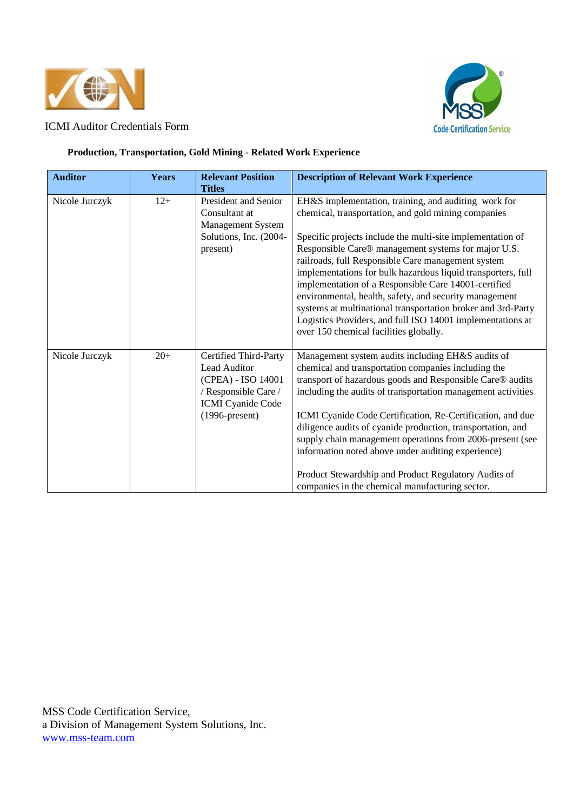



#### **Production, Transportation, Gold Mining - Related Work Experience**

| <b>Auditor</b> | <b>Years</b> | <b>Relevant Position</b><br><b>Titles</b>                                                                                                   | <b>Description of Relevant Work Experience</b>                                                                                                                                                                                                                                                                                                                                                                                                                                                                                                                                                                                                   |
|----------------|--------------|---------------------------------------------------------------------------------------------------------------------------------------------|--------------------------------------------------------------------------------------------------------------------------------------------------------------------------------------------------------------------------------------------------------------------------------------------------------------------------------------------------------------------------------------------------------------------------------------------------------------------------------------------------------------------------------------------------------------------------------------------------------------------------------------------------|
| Nicole Jurczyk | $12+$        | President and Senior<br>Consultant at<br>Management System<br>Solutions, Inc. (2004-<br>present)                                            | EH&S implementation, training, and auditing work for<br>chemical, transportation, and gold mining companies<br>Specific projects include the multi-site implementation of<br>Responsible Care® management systems for major U.S.<br>railroads, full Responsible Care management system<br>implementations for bulk hazardous liquid transporters, full<br>implementation of a Responsible Care 14001-certified<br>environmental, health, safety, and security management<br>systems at multinational transportation broker and 3rd-Party<br>Logistics Providers, and full ISO 14001 implementations at<br>over 150 chemical facilities globally. |
| Nicole Jurczyk | $20+$        | Certified Third-Party<br><b>Lead Auditor</b><br>(CPEA) - ISO 14001<br>/ Responsible Care /<br><b>ICMI</b> Cyanide Code<br>$(1996$ -present) | Management system audits including EH&S audits of<br>chemical and transportation companies including the<br>transport of hazardous goods and Responsible Care® audits<br>including the audits of transportation management activities<br>ICMI Cyanide Code Certification, Re-Certification, and due<br>diligence audits of cyanide production, transportation, and<br>supply chain management operations from 2006-present (see<br>information noted above under auditing experience)<br>Product Stewardship and Product Regulatory Audits of<br>companies in the chemical manufacturing sector.                                                 |